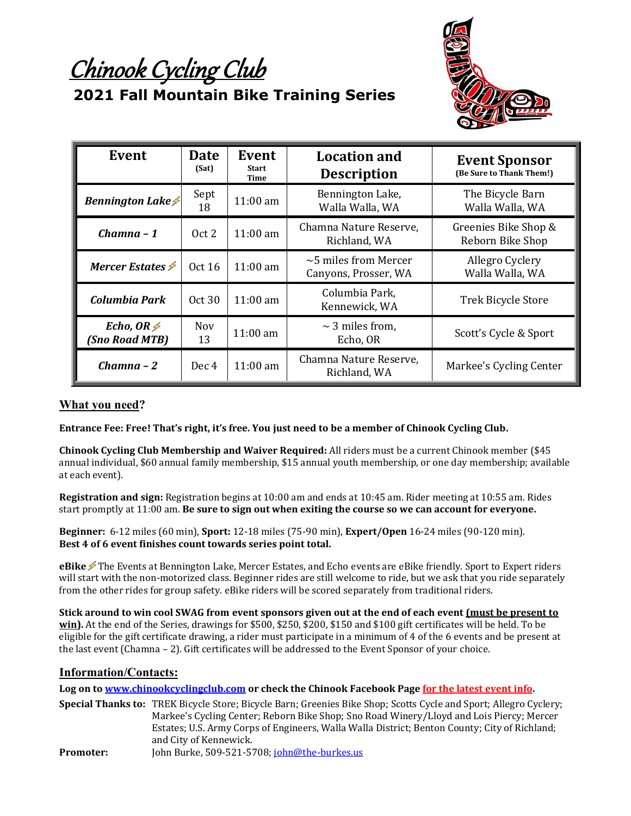Chinook Cycling Club



# **2021 Fall Mountain Bike Training Series**

| Event                                 | <b>Date</b><br>(Sat) | Event<br><b>Start</b><br><b>Time</b> | <b>Location and</b><br><b>Description</b>          | <b>Event Sponsor</b><br>(Be Sure to Thank Them!) |
|---------------------------------------|----------------------|--------------------------------------|----------------------------------------------------|--------------------------------------------------|
| <b>Bennington Lake <del>≰</del></b>   | Sept<br>18           | $11:00$ am                           | Bennington Lake,<br>Walla Walla, WA                | The Bicycle Barn<br>Walla Walla, WA              |
| $Chamna - 1$                          | Oct 2                | $11:00$ am                           | Chamna Nature Reserve,<br>Richland, WA             | Greenies Bike Shop &<br>Reborn Bike Shop         |
| Mercer Estates $\cancel{\mathscr{F}}$ | Oct 16               | $11:00$ am                           | $\sim$ 5 miles from Mercer<br>Canyons, Prosser, WA | Allegro Cyclery<br>Walla Walla, WA               |
| Columbia Park                         | Oct30                | $11:00 \text{ am}$                   | Columbia Park,<br>Kennewick, WA                    | <b>Trek Bicycle Store</b>                        |
| Echo, OR $\neq$<br>(Sno Road MTB)     | <b>Nov</b><br>13     | $11:00 \text{ am}$                   | $\sim$ 3 miles from.<br>Echo, OR                   | Scott's Cycle & Sport                            |
| Chamna – 2                            | Dec 4                | $11:00 \text{ am}$                   | Chamna Nature Reserve,<br>Richland, WA             | Markee's Cycling Center                          |

### **What you need?**

**Entrance Fee: Free! That's right, it's free. You just need to be a member of Chinook Cycling Club.** 

**Chinook Cycling Club Membership and Waiver Required:** All riders must be a current Chinook member (\$45 annual individual, \$60 annual family membership, \$15 annual youth membership, or one day membership; available at each event).

**Registration and sign:** Registration begins at 10:00 am and ends at 10:45 am. Rider meeting at 10:55 am. Rides start promptly at 11:00 am. **Be sure to sign out when exiting the course so we can account for everyone.**

**Beginner:** 6-12 miles (60 min), **Sport:** 12-18 miles (75-90 min), **Expert/Open** 16-24 miles (90-120 min). **Best 4 of 6 event finishes count towards series point total.**

**eBike <del></del>** The Events at Bennington Lake, Mercer Estates, and Echo events are eBike friendly. Sport to Expert riders will start with the non-motorized class. Beginner rides are still welcome to ride, but we ask that you ride separately from the other rides for group safety. eBike riders will be scored separately from traditional riders.

**Stick around to win cool SWAG from event sponsors given out at the end of each event (must be present to win).** At the end of the Series, drawings for \$500, \$250, \$200, \$150 and \$100 gift certificates will be held. To be eligible for the gift certificate drawing, a rider must participate in a minimum of 4 of the 6 events and be present at the last event (Chamna – 2). Gift certificates will be addressed to the Event Sponsor of your choice.

#### **Information/Contacts:**

**Log on t[o www.chinookcyclingclub.com](http://www.chinookcyclingclub.com/) or check the Chinook Facebook Page for the latest event info.**

**Special Thanks to:** TREK Bicycle Store; Bicycle Barn; Greenies Bike Shop; Scotts Cycle and Sport; Allegro Cyclery; Markee's Cycling Center; Reborn Bike Shop; Sno Road Winery/Lloyd and Lois Piercy; Mercer Estates; U.S. Army Corps of Engineers, Walla Walla District; Benton County; City of Richland; and City of Kennewick. Promoter: John Burke, 509-521-5708; [john@the-burkes.us](mailto:john@the-burkes.us)